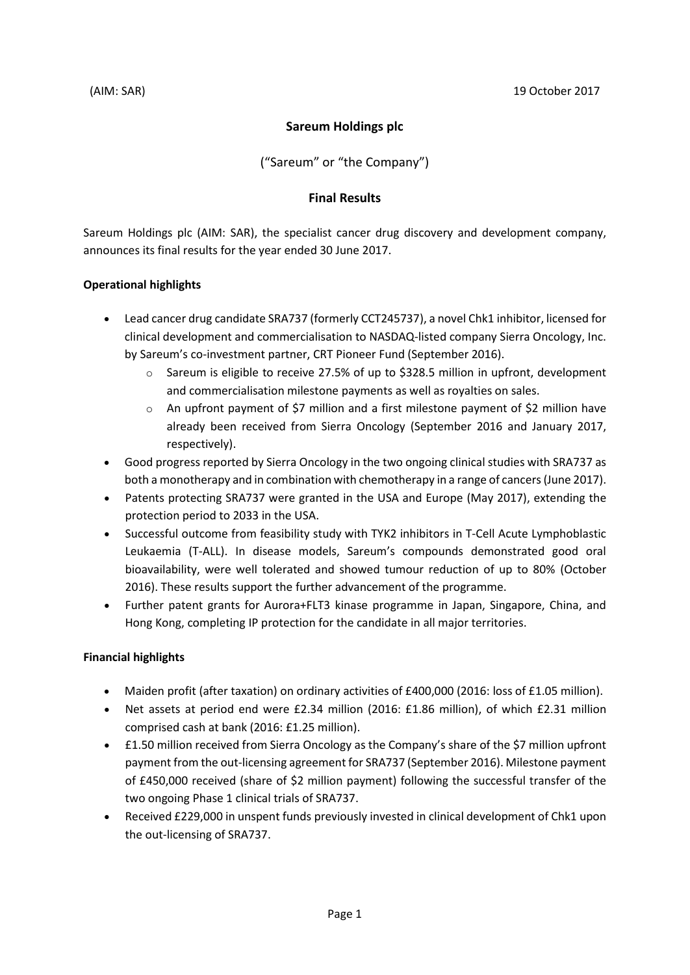# **Sareum Holdings plc**

("Sareum" or "the Company")

### **Final Results**

Sareum Holdings plc (AIM: SAR), the specialist cancer drug discovery and development company, announces its final results for the year ended 30 June 2017.

# **Operational highlights**

- Lead cancer drug candidate SRA737 (formerly CCT245737), a novel Chk1 inhibitor, licensed for clinical development and commercialisation to NASDAQ-listed company Sierra Oncology, Inc. by Sareum's co-investment partner, CRT Pioneer Fund (September 2016).
	- o Sareum is eligible to receive 27.5% of up to \$328.5 million in upfront, development and commercialisation milestone payments as well as royalties on sales.
	- $\circ$  An upfront payment of \$7 million and a first milestone payment of \$2 million have already been received from Sierra Oncology (September 2016 and January 2017, respectively).
- Good progress reported by Sierra Oncology in the two ongoing clinical studies with SRA737 as both a monotherapy and in combination with chemotherapy in a range of cancers (June 2017).
- Patents protecting SRA737 were granted in the USA and Europe (May 2017), extending the protection period to 2033 in the USA.
- Successful outcome from feasibility study with TYK2 inhibitors in T-Cell Acute Lymphoblastic Leukaemia (T-ALL). In disease models, Sareum's compounds demonstrated good oral bioavailability, were well tolerated and showed tumour reduction of up to 80% (October 2016). These results support the further advancement of the programme.
- Further patent grants for Aurora+FLT3 kinase programme in Japan, Singapore, China, and Hong Kong, completing IP protection for the candidate in all major territories.

# **Financial highlights**

- Maiden profit (after taxation) on ordinary activities of £400,000 (2016: loss of £1.05 million).
- Net assets at period end were £2.34 million (2016: £1.86 million), of which £2.31 million comprised cash at bank (2016: £1.25 million).
- £1.50 million received from Sierra Oncology as the Company's share of the \$7 million upfront payment from the out-licensing agreement for SRA737 (September 2016). Milestone payment of £450,000 received (share of \$2 million payment) following the successful transfer of the two ongoing Phase 1 clinical trials of SRA737.
- Received £229,000 in unspent funds previously invested in clinical development of Chk1 upon the out-licensing of SRA737.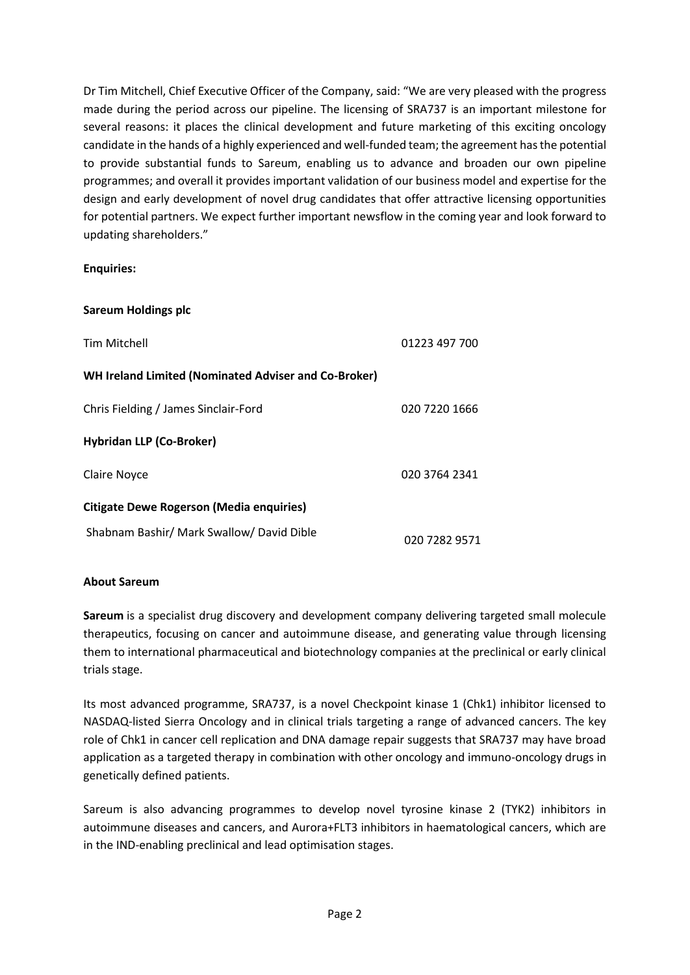Dr Tim Mitchell, Chief Executive Officer of the Company, said: "We are very pleased with the progress made during the period across our pipeline. The licensing of SRA737 is an important milestone for several reasons: it places the clinical development and future marketing of this exciting oncology candidate in the hands of a highly experienced and well-funded team; the agreement has the potential to provide substantial funds to Sareum, enabling us to advance and broaden our own pipeline programmes; and overall it provides important validation of our business model and expertise for the design and early development of novel drug candidates that offer attractive licensing opportunities for potential partners. We expect further important newsflow in the coming year and look forward to updating shareholders."

# **Enquiries:**

| <b>Sareum Holdings plc</b>                                  |               |
|-------------------------------------------------------------|---------------|
| Tim Mitchell                                                | 01223 497 700 |
| <b>WH Ireland Limited (Nominated Adviser and Co-Broker)</b> |               |
| Chris Fielding / James Sinclair-Ford                        | 020 7220 1666 |
| <b>Hybridan LLP (Co-Broker)</b>                             |               |
| <b>Claire Noyce</b>                                         | 020 3764 2341 |
| <b>Citigate Dewe Rogerson (Media enquiries)</b>             |               |
| Shabnam Bashir/ Mark Swallow/ David Dible                   | 020 7282 9571 |

# **About Sareum**

**Sareum** is a specialist drug discovery and development company delivering targeted small molecule therapeutics, focusing on cancer and autoimmune disease, and generating value through licensing them to international pharmaceutical and biotechnology companies at the preclinical or early clinical trials stage.

Its most advanced programme, SRA737, is a novel Checkpoint kinase 1 (Chk1) inhibitor licensed to NASDAQ-listed Sierra Oncology and in clinical trials targeting a range of advanced cancers. The key role of Chk1 in cancer cell replication and DNA damage repair suggests that SRA737 may have broad application as a targeted therapy in combination with other oncology and immuno-oncology drugs in genetically defined patients.

Sareum is also advancing programmes to develop novel tyrosine kinase 2 (TYK2) inhibitors in autoimmune diseases and cancers, and Aurora+FLT3 inhibitors in haematological cancers, which are in the IND-enabling preclinical and lead optimisation stages.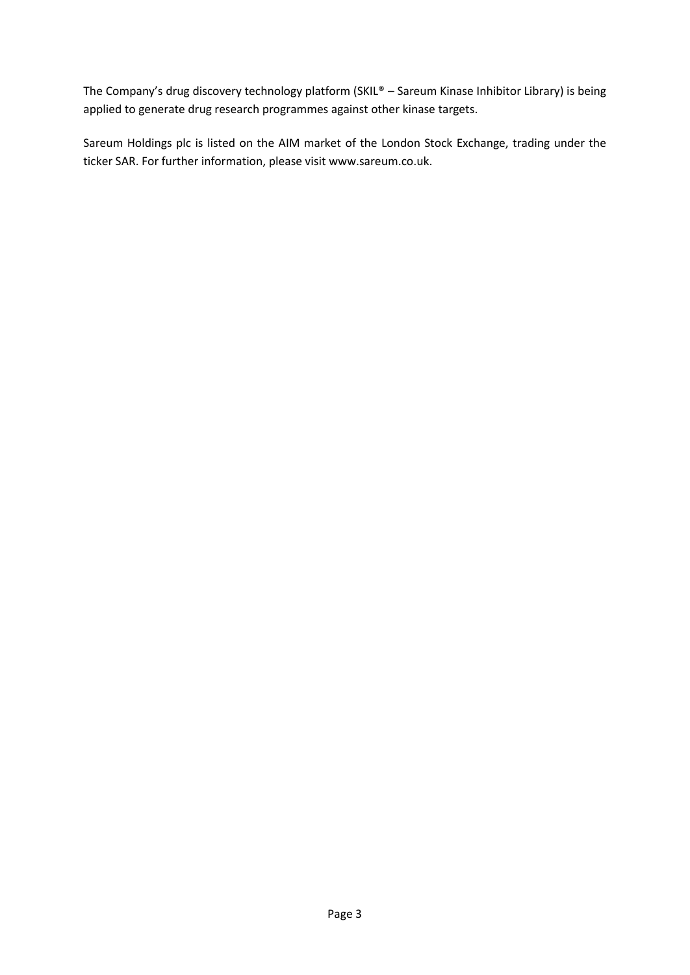The Company's drug discovery technology platform (SKIL® – Sareum Kinase Inhibitor Library) is being applied to generate drug research programmes against other kinase targets.

Sareum Holdings plc is listed on the AIM market of the London Stock Exchange, trading under the ticker SAR. For further information, please visit [www.sareum.co.uk.](http://www.sareum.co.uk/)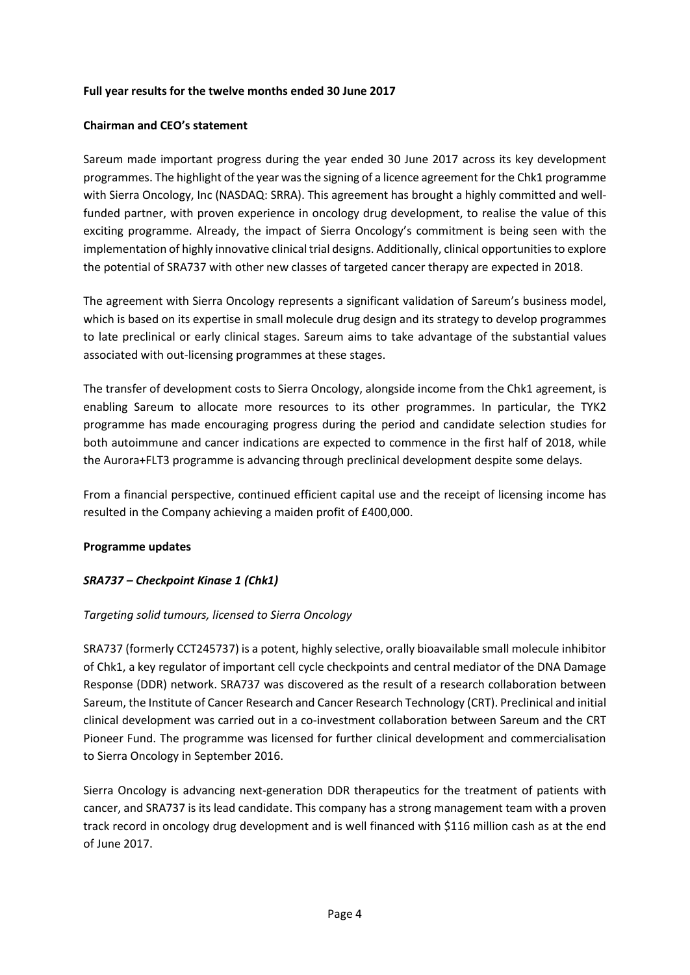### **Full year results for the twelve months ended 30 June 2017**

### **Chairman and CEO's statement**

Sareum made important progress during the year ended 30 June 2017 across its key development programmes. The highlight of the year wasthe signing of a licence agreement for the Chk1 programme with Sierra Oncology, Inc (NASDAQ: SRRA). This agreement has brought a highly committed and wellfunded partner, with proven experience in oncology drug development, to realise the value of this exciting programme. Already, the impact of Sierra Oncology's commitment is being seen with the implementation of highly innovative clinical trial designs. Additionally, clinical opportunities to explore the potential of SRA737 with other new classes of targeted cancer therapy are expected in 2018.

The agreement with Sierra Oncology represents a significant validation of Sareum's business model, which is based on its expertise in small molecule drug design and its strategy to develop programmes to late preclinical or early clinical stages. Sareum aims to take advantage of the substantial values associated with out-licensing programmes at these stages.

The transfer of development costs to Sierra Oncology, alongside income from the Chk1 agreement, is enabling Sareum to allocate more resources to its other programmes. In particular, the TYK2 programme has made encouraging progress during the period and candidate selection studies for both autoimmune and cancer indications are expected to commence in the first half of 2018, while the Aurora+FLT3 programme is advancing through preclinical development despite some delays.

From a financial perspective, continued efficient capital use and the receipt of licensing income has resulted in the Company achieving a maiden profit of £400,000.

# **Programme updates**

# *SRA737 – Checkpoint Kinase 1 (Chk1)*

# *Targeting solid tumours, licensed to Sierra Oncology*

SRA737 (formerly CCT245737) is a potent, highly selective, orally bioavailable small molecule inhibitor of Chk1, a key regulator of important cell cycle checkpoints and central mediator of the DNA Damage Response (DDR) network. SRA737 was discovered as the result of a research collaboration between Sareum, the Institute of Cancer Research and Cancer Research Technology (CRT). Preclinical and initial clinical development was carried out in a co-investment collaboration between Sareum and the CRT Pioneer Fund. The programme was licensed for further clinical development and commercialisation to Sierra Oncology in September 2016.

Sierra Oncology is advancing next-generation DDR therapeutics for the treatment of patients with cancer, and SRA737 is its lead candidate. This company has a strong management team with a proven track record in oncology drug development and is well financed with \$116 million cash as at the end of June 2017.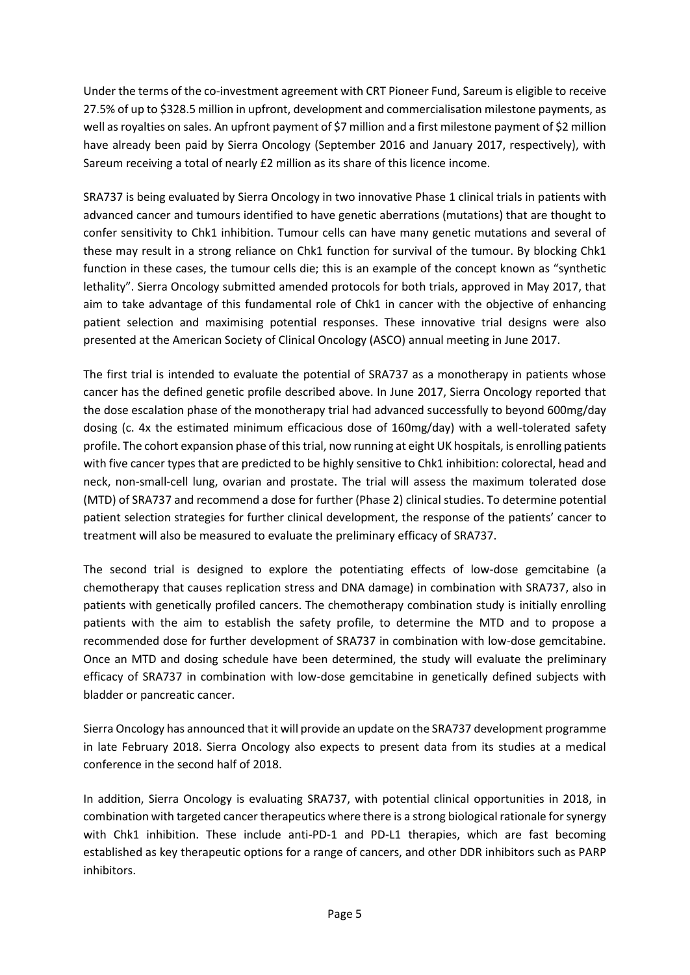Under the terms of the co-investment agreement with CRT Pioneer Fund, Sareum is eligible to receive 27.5% of up to \$328.5 million in upfront, development and commercialisation milestone payments, as well as royalties on sales. An upfront payment of \$7 million and a first milestone payment of \$2 million have already been paid by Sierra Oncology (September 2016 and January 2017, respectively), with Sareum receiving a total of nearly £2 million as its share of this licence income.

SRA737 is being evaluated by Sierra Oncology in two innovative Phase 1 clinical trials in patients with advanced cancer and tumours identified to have genetic aberrations (mutations) that are thought to confer sensitivity to Chk1 inhibition. Tumour cells can have many genetic mutations and several of these may result in a strong reliance on Chk1 function for survival of the tumour. By blocking Chk1 function in these cases, the tumour cells die; this is an example of the concept known as "synthetic lethality". Sierra Oncology submitted amended protocols for both trials, approved in May 2017, that aim to take advantage of this fundamental role of Chk1 in cancer with the objective of enhancing patient selection and maximising potential responses. These innovative trial designs were also presented at the American Society of Clinical Oncology (ASCO) annual meeting in June 2017.

The first trial is intended to evaluate the potential of SRA737 as a monotherapy in patients whose cancer has the defined genetic profile described above. In June 2017, Sierra Oncology reported that the dose escalation phase of the monotherapy trial had advanced successfully to beyond 600mg/day dosing (c. 4x the estimated minimum efficacious dose of 160mg/day) with a well-tolerated safety profile. The cohort expansion phase of this trial, now running at eight UK hospitals, is enrolling patients with five cancer types that are predicted to be highly sensitive to Chk1 inhibition: colorectal, head and neck, non-small-cell lung, ovarian and prostate. The trial will assess the maximum tolerated dose (MTD) of SRA737 and recommend a dose for further (Phase 2) clinical studies. To determine potential patient selection strategies for further clinical development, the response of the patients' cancer to treatment will also be measured to evaluate the preliminary efficacy of SRA737.

The second trial is designed to explore the potentiating effects of low-dose gemcitabine (a chemotherapy that causes replication stress and DNA damage) in combination with SRA737, also in patients with genetically profiled cancers. The chemotherapy combination study is initially enrolling patients with the aim to establish the safety profile, to determine the MTD and to propose a recommended dose for further development of SRA737 in combination with low-dose gemcitabine. Once an MTD and dosing schedule have been determined, the study will evaluate the preliminary efficacy of SRA737 in combination with low-dose gemcitabine in genetically defined subjects with bladder or pancreatic cancer.

Sierra Oncology has announced that it will provide an update on the SRA737 development programme in late February 2018. Sierra Oncology also expects to present data from its studies at a medical conference in the second half of 2018.

In addition, Sierra Oncology is evaluating SRA737, with potential clinical opportunities in 2018, in combination with targeted cancer therapeutics where there is a strong biological rationale for synergy with Chk1 inhibition. These include anti-PD-1 and PD-L1 therapies, which are fast becoming established as key therapeutic options for a range of cancers, and other DDR inhibitors such as PARP inhibitors.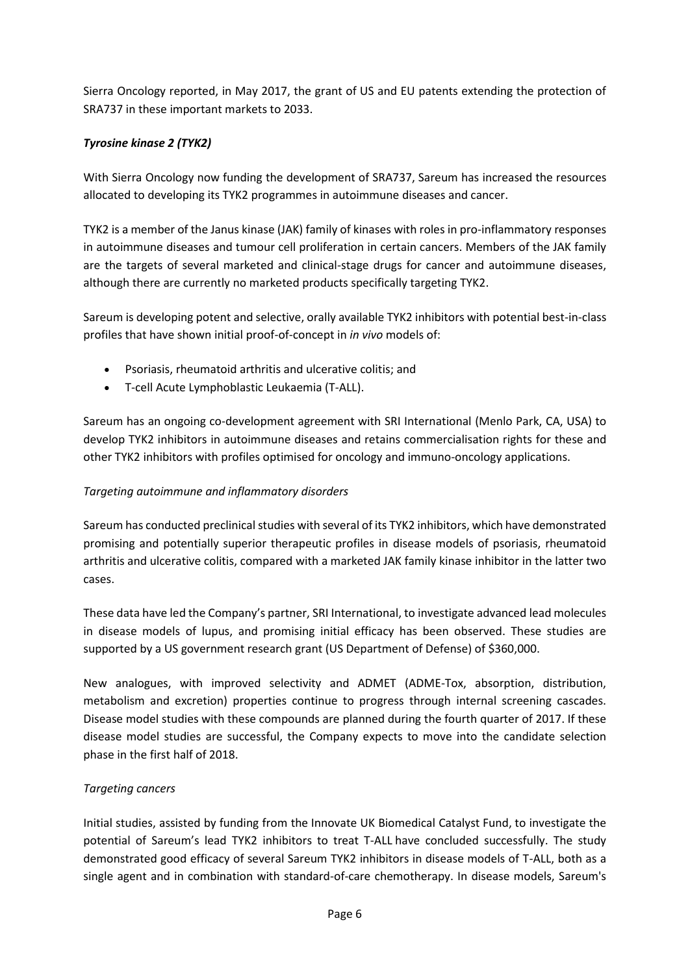Sierra Oncology reported, in May 2017, the grant of US and EU patents extending the protection of SRA737 in these important markets to 2033.

# *Tyrosine kinase 2 (TYK2)*

With Sierra Oncology now funding the development of SRA737, Sareum has increased the resources allocated to developing its TYK2 programmes in autoimmune diseases and cancer.

TYK2 is a member of the Janus kinase (JAK) family of kinases with roles in pro-inflammatory responses in autoimmune diseases and tumour cell proliferation in certain cancers. Members of the JAK family are the targets of several marketed and clinical-stage drugs for cancer and autoimmune diseases, although there are currently no marketed products specifically targeting TYK2.

Sareum is developing potent and selective, orally available TYK2 inhibitors with potential best-in-class profiles that have shown initial proof-of-concept in *in vivo* models of:

- Psoriasis, rheumatoid arthritis and ulcerative colitis; and
- T-cell Acute Lymphoblastic Leukaemia (T-ALL).

Sareum has an ongoing co-development agreement with SRI International (Menlo Park, CA, USA) to develop TYK2 inhibitors in autoimmune diseases and retains commercialisation rights for these and other TYK2 inhibitors with profiles optimised for oncology and immuno-oncology applications.

# *Targeting autoimmune and inflammatory disorders*

Sareum has conducted preclinical studies with several of its TYK2 inhibitors, which have demonstrated promising and potentially superior therapeutic profiles in disease models of psoriasis, rheumatoid arthritis and ulcerative colitis, compared with a marketed JAK family kinase inhibitor in the latter two cases.

These data have led the Company's partner, SRI International, to investigate advanced lead molecules in disease models of lupus, and promising initial efficacy has been observed. These studies are supported by a US government research grant (US Department of Defense) of \$360,000.

New analogues, with improved selectivity and ADMET (ADME-Tox, absorption, distribution, metabolism and excretion) properties continue to progress through internal screening cascades. Disease model studies with these compounds are planned during the fourth quarter of 2017. If these disease model studies are successful, the Company expects to move into the candidate selection phase in the first half of 2018.

# *Targeting cancers*

Initial studies, assisted by funding from the Innovate UK Biomedical Catalyst Fund, to investigate the potential of Sareum's lead TYK2 inhibitors to treat T-ALL have concluded successfully. The study demonstrated good efficacy of several Sareum TYK2 inhibitors in disease models of T-ALL, both as a single agent and in combination with standard-of-care chemotherapy. In disease models, Sareum's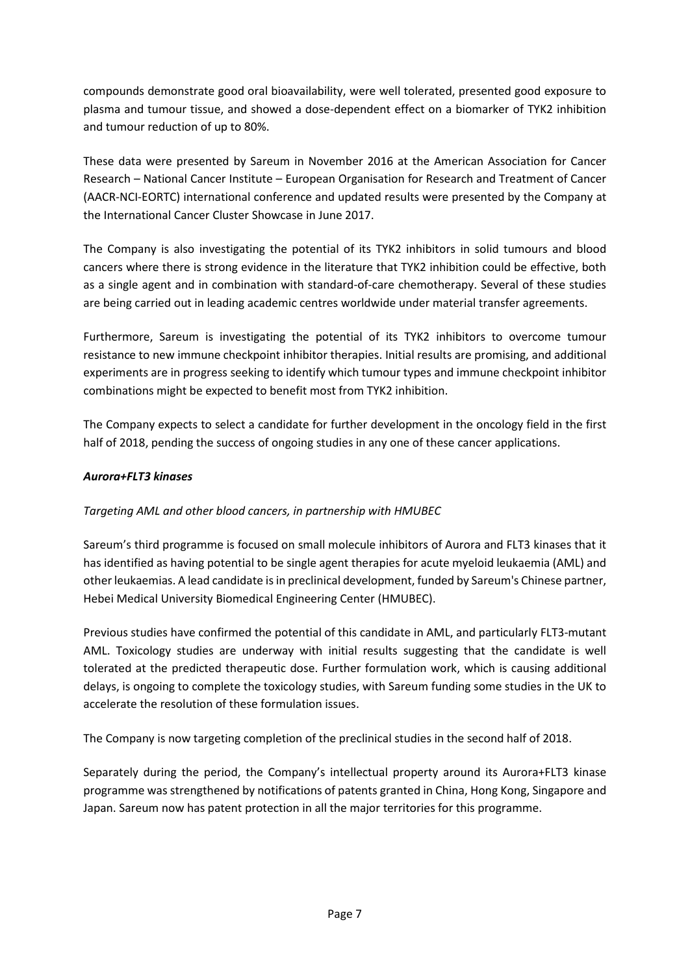compounds demonstrate good oral bioavailability, were well tolerated, presented good exposure to plasma and tumour tissue, and showed a dose-dependent effect on a biomarker of TYK2 inhibition and tumour reduction of up to 80%.

These data were presented by Sareum in November 2016 at the American Association for Cancer Research – National Cancer Institute – European Organisation for Research and Treatment of Cancer (AACR-NCI-EORTC) international conference and updated results were presented by the Company at the International Cancer Cluster Showcase in June 2017.

The Company is also investigating the potential of its TYK2 inhibitors in solid tumours and blood cancers where there is strong evidence in the literature that TYK2 inhibition could be effective, both as a single agent and in combination with standard-of-care chemotherapy. Several of these studies are being carried out in leading academic centres worldwide under material transfer agreements.

Furthermore, Sareum is investigating the potential of its TYK2 inhibitors to overcome tumour resistance to new immune checkpoint inhibitor therapies. Initial results are promising, and additional experiments are in progress seeking to identify which tumour types and immune checkpoint inhibitor combinations might be expected to benefit most from TYK2 inhibition.

The Company expects to select a candidate for further development in the oncology field in the first half of 2018, pending the success of ongoing studies in any one of these cancer applications.

# *Aurora+FLT3 kinases*

# *Targeting AML and other blood cancers, in partnership with HMUBEC*

Sareum's third programme is focused on small molecule inhibitors of Aurora and FLT3 kinases that it has identified as having potential to be single agent therapies for acute myeloid leukaemia (AML) and other leukaemias. A lead candidate is in preclinical development, funded by Sareum's Chinese partner, Hebei Medical University Biomedical Engineering Center (HMUBEC).

Previous studies have confirmed the potential of this candidate in AML, and particularly FLT3-mutant AML. Toxicology studies are underway with initial results suggesting that the candidate is well tolerated at the predicted therapeutic dose. Further formulation work, which is causing additional delays, is ongoing to complete the toxicology studies, with Sareum funding some studies in the UK to accelerate the resolution of these formulation issues.

The Company is now targeting completion of the preclinical studies in the second half of 2018.

Separately during the period, the Company's intellectual property around its Aurora+FLT3 kinase programme was strengthened by notifications of patents granted in China, Hong Kong, Singapore and Japan. Sareum now has patent protection in all the major territories for this programme.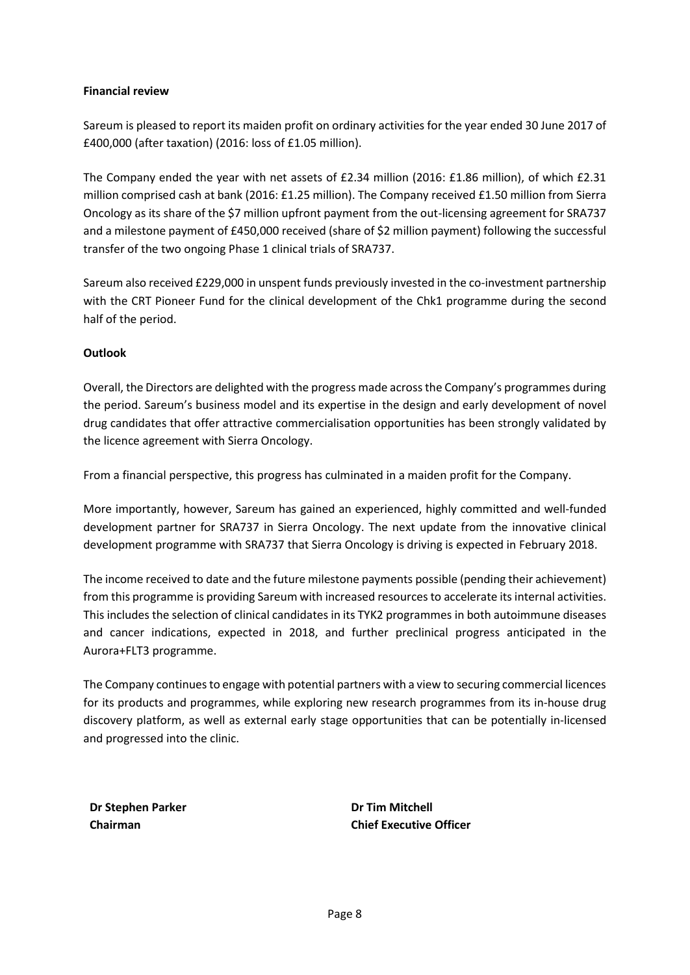### **Financial review**

Sareum is pleased to report its maiden profit on ordinary activities for the year ended 30 June 2017 of £400,000 (after taxation) (2016: loss of £1.05 million).

The Company ended the year with net assets of £2.34 million (2016: £1.86 million), of which £2.31 million comprised cash at bank (2016: £1.25 million). The Company received £1.50 million from Sierra Oncology as its share of the \$7 million upfront payment from the out-licensing agreement for SRA737 and a milestone payment of £450,000 received (share of \$2 million payment) following the successful transfer of the two ongoing Phase 1 clinical trials of SRA737.

Sareum also received £229,000 in unspent funds previously invested in the co-investment partnership with the CRT Pioneer Fund for the clinical development of the Chk1 programme during the second half of the period.

### **Outlook**

Overall, the Directors are delighted with the progress made across the Company's programmes during the period. Sareum's business model and its expertise in the design and early development of novel drug candidates that offer attractive commercialisation opportunities has been strongly validated by the licence agreement with Sierra Oncology.

From a financial perspective, this progress has culminated in a maiden profit for the Company.

More importantly, however, Sareum has gained an experienced, highly committed and well-funded development partner for SRA737 in Sierra Oncology. The next update from the innovative clinical development programme with SRA737 that Sierra Oncology is driving is expected in February 2018.

The income received to date and the future milestone payments possible (pending their achievement) from this programme is providing Sareum with increased resources to accelerate its internal activities. This includes the selection of clinical candidates in its TYK2 programmes in both autoimmune diseases and cancer indications, expected in 2018, and further preclinical progress anticipated in the Aurora+FLT3 programme.

The Company continues to engage with potential partners with a view to securing commercial licences for its products and programmes, while exploring new research programmes from its in-house drug discovery platform, as well as external early stage opportunities that can be potentially in-licensed and progressed into the clinic.

**Dr Stephen Parker Chairman**

**Dr Tim Mitchell Chief Executive Officer**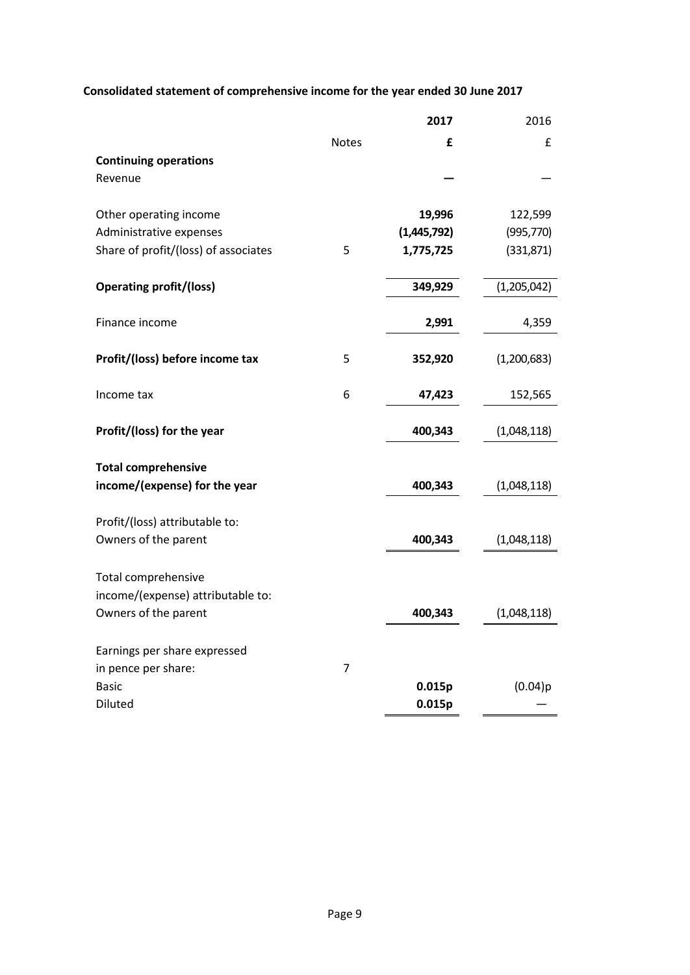# **Consolidated statement of comprehensive income for the year ended 30 June 2017**

|                                      |                | 2017        | 2016        |
|--------------------------------------|----------------|-------------|-------------|
|                                      | <b>Notes</b>   | £           | £           |
| <b>Continuing operations</b>         |                |             |             |
| Revenue                              |                |             |             |
|                                      |                |             |             |
| Other operating income               |                | 19,996      | 122,599     |
| Administrative expenses              |                | (1,445,792) | (995, 770)  |
| Share of profit/(loss) of associates | 5              | 1,775,725   | (331, 871)  |
|                                      |                | 349,929     |             |
| <b>Operating profit/(loss)</b>       |                |             | (1,205,042) |
| Finance income                       |                | 2,991       | 4,359       |
| Profit/(loss) before income tax      | 5              | 352,920     | (1,200,683) |
|                                      |                |             |             |
| Income tax                           | 6              | 47,423      | 152,565     |
| Profit/(loss) for the year           |                | 400,343     | (1,048,118) |
|                                      |                |             |             |
| <b>Total comprehensive</b>           |                |             |             |
| income/(expense) for the year        |                | 400,343     | (1,048,118) |
|                                      |                |             |             |
| Profit/(loss) attributable to:       |                |             |             |
| Owners of the parent                 |                | 400,343     | (1,048,118) |
| Total comprehensive                  |                |             |             |
| income/(expense) attributable to:    |                |             |             |
| Owners of the parent                 |                | 400,343     | (1,048,118) |
|                                      |                |             |             |
| Earnings per share expressed         |                |             |             |
| in pence per share:                  | $\overline{7}$ |             |             |
| <b>Basic</b>                         |                | 0.015p      | (0.04)p     |
| Diluted                              |                | 0.015p      |             |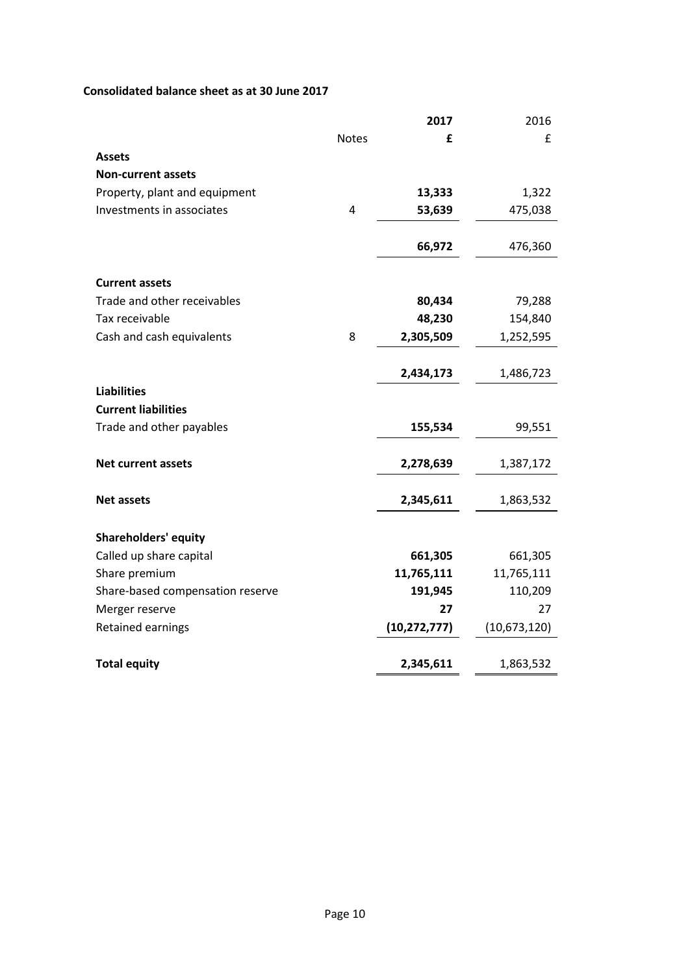# **Consolidated balance sheet as at 30 June 2017**

|                                  |              | 2017           | 2016         |
|----------------------------------|--------------|----------------|--------------|
|                                  | <b>Notes</b> | £              | £            |
| <b>Assets</b>                    |              |                |              |
| <b>Non-current assets</b>        |              |                |              |
| Property, plant and equipment    |              | 13,333         | 1,322        |
| Investments in associates        | 4            | 53,639         | 475,038      |
|                                  |              | 66,972         | 476,360      |
| <b>Current assets</b>            |              |                |              |
| Trade and other receivables      |              | 80,434         | 79,288       |
| Tax receivable                   |              | 48,230         | 154,840      |
| Cash and cash equivalents        | 8            | 2,305,509      | 1,252,595    |
|                                  |              | 2,434,173      | 1,486,723    |
| <b>Liabilities</b>               |              |                |              |
| <b>Current liabilities</b>       |              |                |              |
| Trade and other payables         |              | 155,534        | 99,551       |
| <b>Net current assets</b>        |              | 2,278,639      | 1,387,172    |
| <b>Net assets</b>                |              | 2,345,611      | 1,863,532    |
| <b>Shareholders' equity</b>      |              |                |              |
| Called up share capital          |              | 661,305        | 661,305      |
| Share premium                    |              | 11,765,111     | 11,765,111   |
| Share-based compensation reserve |              | 191,945        | 110,209      |
| Merger reserve                   |              | 27             | 27           |
| Retained earnings                |              | (10, 272, 777) | (10,673,120) |
|                                  |              |                |              |
| <b>Total equity</b>              |              | 2,345,611      | 1,863,532    |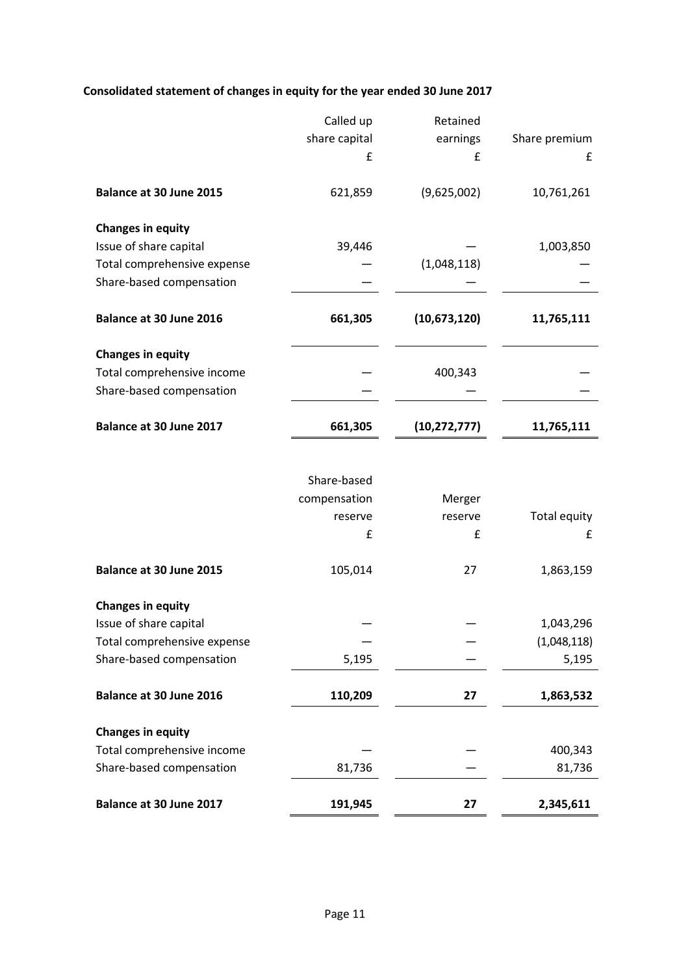# **Consolidated statement of changes in equity for the year ended 30 June 2017**

| Balance at 30 June 2017                                | 191,945       | 27             | 2,345,611     |
|--------------------------------------------------------|---------------|----------------|---------------|
|                                                        |               |                |               |
| Share-based compensation                               | 81,736        |                | 81,736        |
| <b>Changes in equity</b><br>Total comprehensive income |               |                | 400,343       |
|                                                        |               |                |               |
| Balance at 30 June 2016                                | 110,209       | 27             | 1,863,532     |
| Share-based compensation                               | 5,195         |                | 5,195         |
| Total comprehensive expense                            |               |                | (1,048,118)   |
| Issue of share capital                                 |               |                | 1,043,296     |
| <b>Changes in equity</b>                               |               |                |               |
| Balance at 30 June 2015                                | 105,014       | 27             | 1,863,159     |
|                                                        |               |                |               |
|                                                        | £             | £              | £             |
|                                                        | reserve       | reserve        | Total equity  |
|                                                        | compensation  | Merger         |               |
|                                                        | Share-based   |                |               |
| Balance at 30 June 2017                                | 661,305       | (10, 272, 777) | 11,765,111    |
|                                                        |               |                |               |
| Total comprehensive income<br>Share-based compensation |               | 400,343        |               |
| <b>Changes in equity</b>                               |               |                |               |
| Balance at 30 June 2016                                | 661,305       | (10,673,120)   | 11,765,111    |
| Share-based compensation                               |               |                |               |
| Total comprehensive expense                            |               | (1,048,118)    |               |
| <b>Changes in equity</b><br>Issue of share capital     | 39,446        |                | 1,003,850     |
| Balance at 30 June 2015                                | 621,859       | (9,625,002)    | 10,761,261    |
|                                                        | £             | £              | £             |
|                                                        | share capital | earnings       | Share premium |
|                                                        | Called up     | Retained       |               |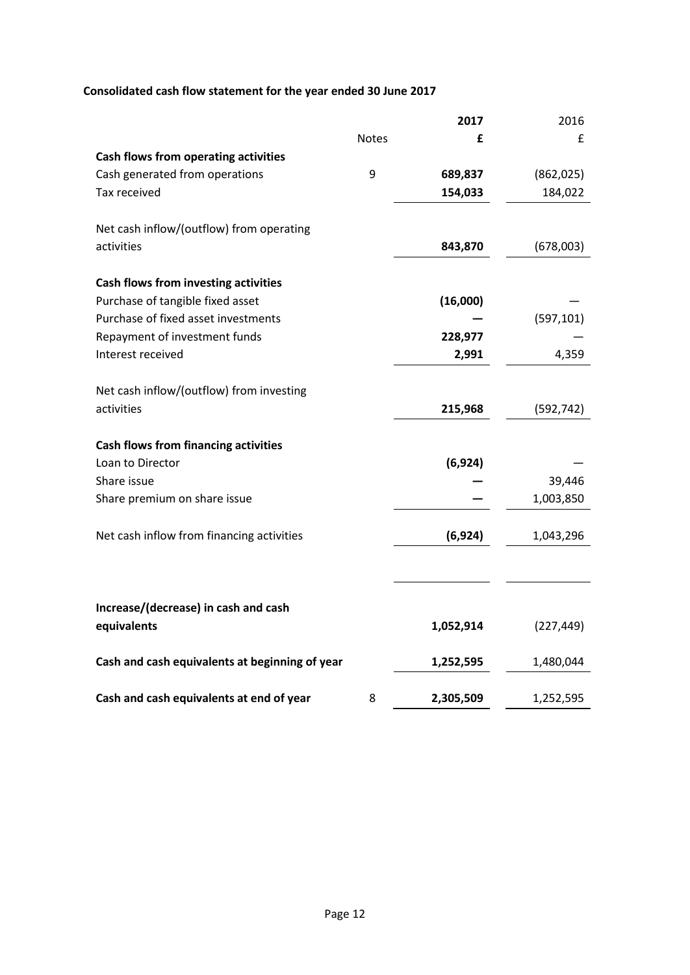# **Consolidated cash flow statement for the year ended 30 June 2017**

|                                                |              | 2017      | 2016       |
|------------------------------------------------|--------------|-----------|------------|
|                                                | <b>Notes</b> | £         | £          |
| <b>Cash flows from operating activities</b>    |              |           |            |
| Cash generated from operations                 | 9            | 689,837   | (862, 025) |
| Tax received                                   |              | 154,033   | 184,022    |
| Net cash inflow/(outflow) from operating       |              |           |            |
| activities                                     |              | 843,870   | (678,003)  |
|                                                |              |           |            |
| <b>Cash flows from investing activities</b>    |              |           |            |
| Purchase of tangible fixed asset               |              | (16,000)  |            |
| Purchase of fixed asset investments            |              |           | (597, 101) |
| Repayment of investment funds                  |              | 228,977   |            |
| Interest received                              |              | 2,991     | 4,359      |
|                                                |              |           |            |
| Net cash inflow/(outflow) from investing       |              |           |            |
| activities                                     |              | 215,968   | (592, 742) |
|                                                |              |           |            |
| <b>Cash flows from financing activities</b>    |              |           |            |
| Loan to Director                               |              | (6, 924)  |            |
| Share issue                                    |              |           | 39,446     |
| Share premium on share issue                   |              |           | 1,003,850  |
|                                                |              |           |            |
| Net cash inflow from financing activities      |              | (6, 924)  | 1,043,296  |
|                                                |              |           |            |
|                                                |              |           |            |
| Increase/(decrease) in cash and cash           |              |           |            |
| equivalents                                    |              | 1,052,914 | (227, 449) |
| Cash and cash equivalents at beginning of year |              | 1,252,595 | 1,480,044  |
| Cash and cash equivalents at end of year       | 8            | 2,305,509 | 1,252,595  |
|                                                |              |           |            |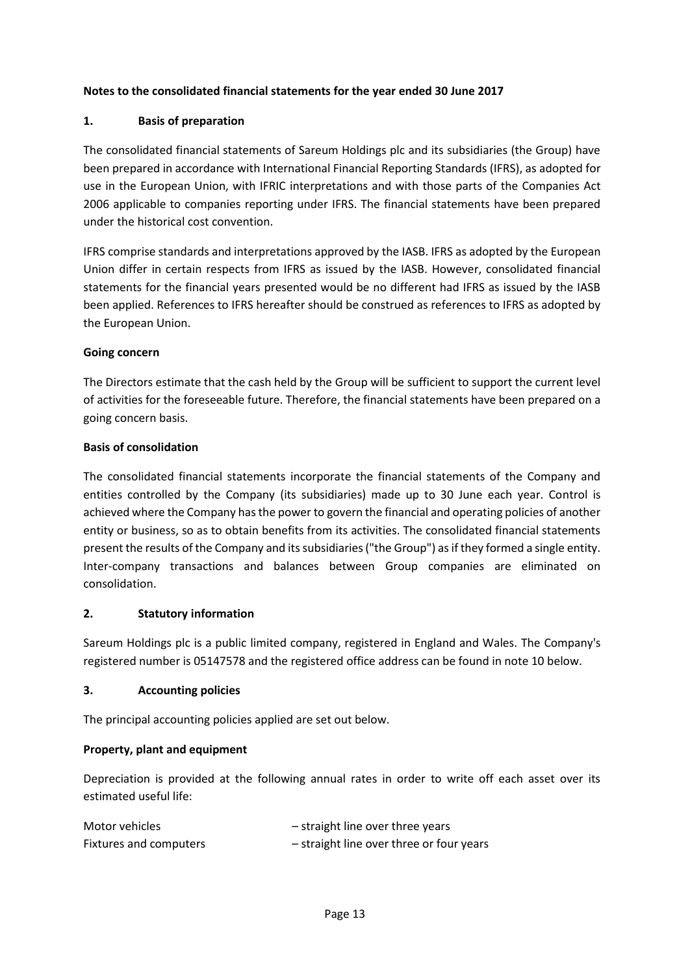# **Notes to the consolidated financial statements for the year ended 30 June 2017**

# **1. Basis of preparation**

The consolidated financial statements of Sareum Holdings plc and its subsidiaries (the Group) have been prepared in accordance with International Financial Reporting Standards (IFRS), as adopted for use in the European Union, with IFRIC interpretations and with those parts of the Companies Act 2006 applicable to companies reporting under IFRS. The financial statements have been prepared under the historical cost convention.

IFRS comprise standards and interpretations approved by the IASB. IFRS as adopted by the European Union differ in certain respects from IFRS as issued by the IASB. However, consolidated financial statements for the financial years presented would be no different had IFRS as issued by the IASB been applied. References to IFRS hereafter should be construed as references to IFRS as adopted by the European Union.

### **Going concern**

The Directors estimate that the cash held by the Group will be sufficient to support the current level of activities for the foreseeable future. Therefore, the financial statements have been prepared on a going concern basis.

### **Basis of consolidation**

The consolidated financial statements incorporate the financial statements of the Company and entities controlled by the Company (its subsidiaries) made up to 30 June each year. Control is achieved where the Company has the power to govern the financial and operating policies of another entity or business, so as to obtain benefits from its activities. The consolidated financial statements present the results of the Company and its subsidiaries ("the Group") as if they formed a single entity. Inter-company transactions and balances between Group companies are eliminated on consolidation.

#### **2. Statutory information**

Sareum Holdings plc is a public limited company, registered in England and Wales. The Company's registered number is 05147578 and the registered office address can be found in note 10 below.

### **3. Accounting policies**

The principal accounting policies applied are set out below.

# **Property, plant and equipment**

Depreciation is provided at the following annual rates in order to write off each asset over its estimated useful life:

| Motor vehicles         | - straight line over three years         |
|------------------------|------------------------------------------|
| Fixtures and computers | - straight line over three or four years |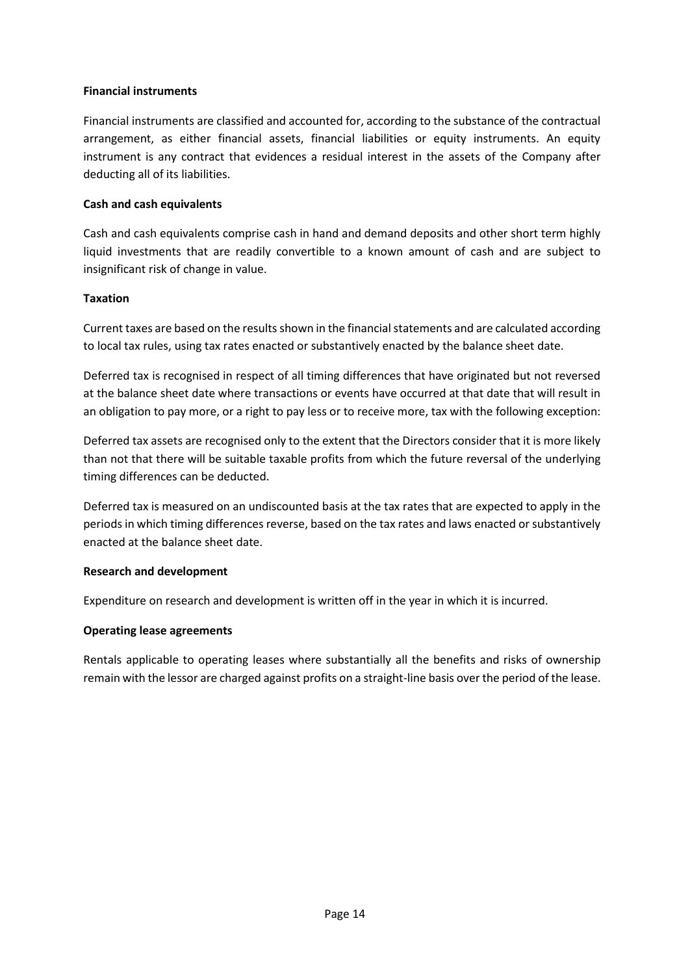### **Financial instruments**

Financial instruments are classified and accounted for, according to the substance of the contractual arrangement, as either financial assets, financial liabilities or equity instruments. An equity instrument is any contract that evidences a residual interest in the assets of the Company after deducting all of its liabilities.

### **Cash and cash equivalents**

Cash and cash equivalents comprise cash in hand and demand deposits and other short term highly liquid investments that are readily convertible to a known amount of cash and are subject to insignificant risk of change in value.

#### **Taxation**

Current taxes are based on the results shown in the financial statements and are calculated according to local tax rules, using tax rates enacted or substantively enacted by the balance sheet date.

Deferred tax is recognised in respect of all timing differences that have originated but not reversed at the balance sheet date where transactions or events have occurred at that date that will result in an obligation to pay more, or a right to pay less or to receive more, tax with the following exception:

Deferred tax assets are recognised only to the extent that the Directors consider that it is more likely than not that there will be suitable taxable profits from which the future reversal of the underlying timing differences can be deducted.

Deferred tax is measured on an undiscounted basis at the tax rates that are expected to apply in the periods in which timing differences reverse, based on the tax rates and laws enacted or substantively enacted at the balance sheet date.

#### **Research and development**

Expenditure on research and development is written off in the year in which it is incurred.

# **Operating lease agreements**

Rentals applicable to operating leases where substantially all the benefits and risks of ownership remain with the lessor are charged against profits on a straight-line basis over the period of the lease.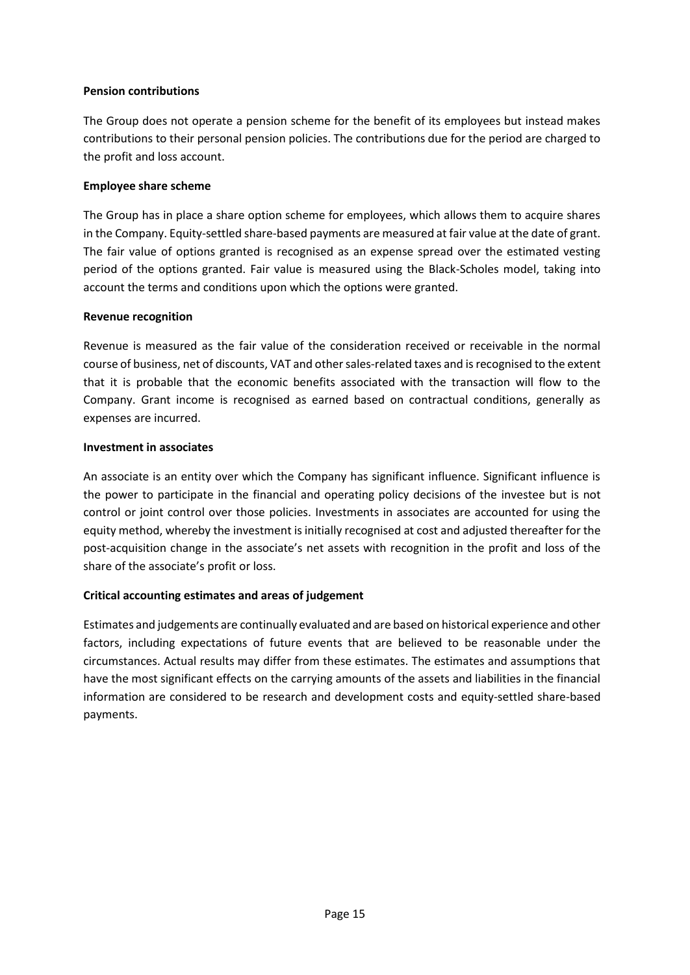### **Pension contributions**

The Group does not operate a pension scheme for the benefit of its employees but instead makes contributions to their personal pension policies. The contributions due for the period are charged to the profit and loss account.

### **Employee share scheme**

The Group has in place a share option scheme for employees, which allows them to acquire shares in the Company. Equity-settled share-based payments are measured at fair value at the date of grant. The fair value of options granted is recognised as an expense spread over the estimated vesting period of the options granted. Fair value is measured using the Black-Scholes model, taking into account the terms and conditions upon which the options were granted.

### **Revenue recognition**

Revenue is measured as the fair value of the consideration received or receivable in the normal course of business, net of discounts, VAT and other sales-related taxes and is recognised to the extent that it is probable that the economic benefits associated with the transaction will flow to the Company. Grant income is recognised as earned based on contractual conditions, generally as expenses are incurred.

### **Investment in associates**

An associate is an entity over which the Company has significant influence. Significant influence is the power to participate in the financial and operating policy decisions of the investee but is not control or joint control over those policies. Investments in associates are accounted for using the equity method, whereby the investment is initially recognised at cost and adjusted thereafter for the post-acquisition change in the associate's net assets with recognition in the profit and loss of the share of the associate's profit or loss.

# **Critical accounting estimates and areas of judgement**

Estimates and judgements are continually evaluated and are based on historical experience and other factors, including expectations of future events that are believed to be reasonable under the circumstances. Actual results may differ from these estimates. The estimates and assumptions that have the most significant effects on the carrying amounts of the assets and liabilities in the financial information are considered to be research and development costs and equity-settled share-based payments.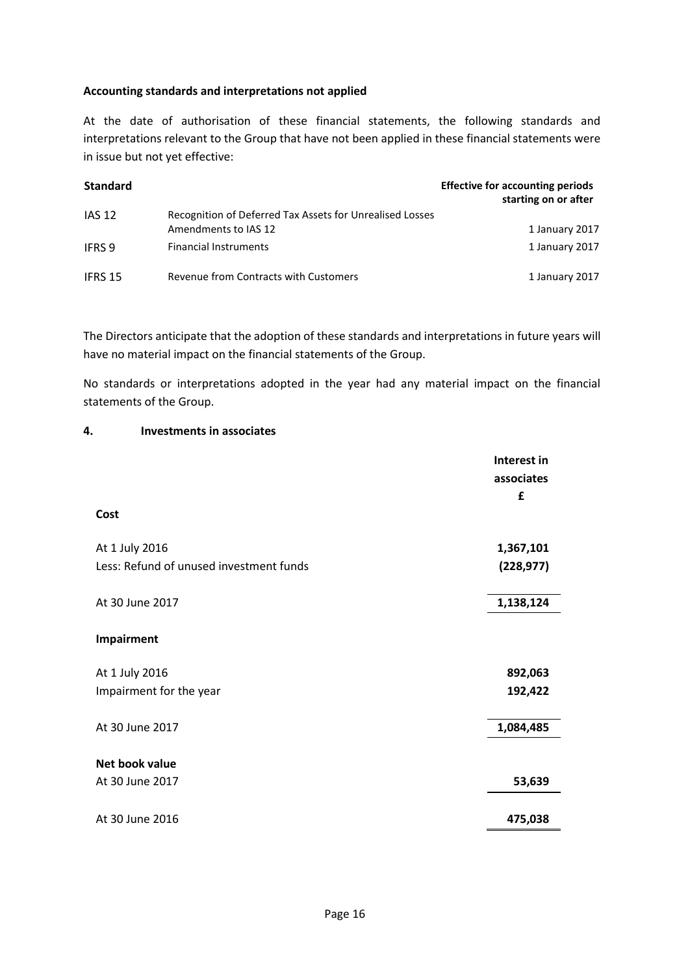### **Accounting standards and interpretations not applied**

At the date of authorisation of these financial statements, the following standards and interpretations relevant to the Group that have not been applied in these financial statements were in issue but not yet effective:

| <b>Standard</b> |                                                                                  | <b>Effective for accounting periods</b><br>starting on or after |
|-----------------|----------------------------------------------------------------------------------|-----------------------------------------------------------------|
| <b>IAS 12</b>   | Recognition of Deferred Tax Assets for Unrealised Losses<br>Amendments to IAS 12 | 1 January 2017                                                  |
| <b>IFRS 9</b>   | <b>Financial Instruments</b>                                                     | 1 January 2017                                                  |
| IFRS 15         | Revenue from Contracts with Customers                                            | 1 January 2017                                                  |

The Directors anticipate that the adoption of these standards and interpretations in future years will have no material impact on the financial statements of the Group.

No standards or interpretations adopted in the year had any material impact on the financial statements of the Group.

### **4. Investments in associates**

|                                         | Interest in |
|-----------------------------------------|-------------|
|                                         | associates  |
|                                         | £           |
| Cost                                    |             |
| At 1 July 2016                          | 1,367,101   |
| Less: Refund of unused investment funds | (228, 977)  |
| At 30 June 2017                         | 1,138,124   |
| Impairment                              |             |
| At 1 July 2016                          | 892,063     |
| Impairment for the year                 | 192,422     |
| At 30 June 2017                         | 1,084,485   |
| Net book value                          |             |
| At 30 June 2017                         | 53,639      |
| At 30 June 2016                         | 475,038     |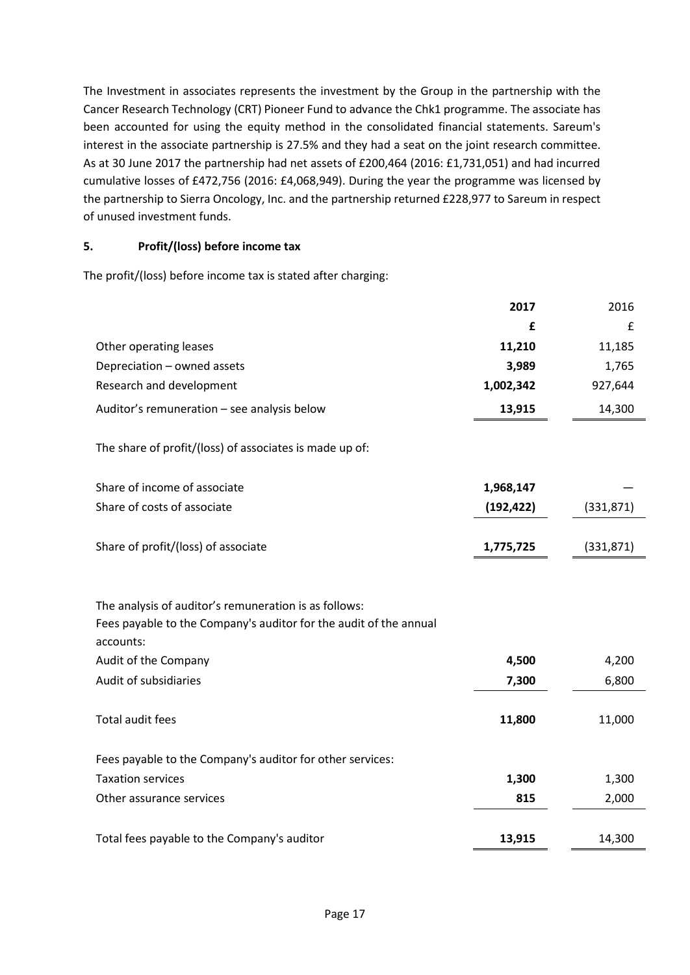The Investment in associates represents the investment by the Group in the partnership with the Cancer Research Technology (CRT) Pioneer Fund to advance the Chk1 programme. The associate has been accounted for using the equity method in the consolidated financial statements. Sareum's interest in the associate partnership is 27.5% and they had a seat on the joint research committee. As at 30 June 2017 the partnership had net assets of £200,464 (2016: £1,731,051) and had incurred cumulative losses of £472,756 (2016: £4,068,949). During the year the programme was licensed by the partnership to Sierra Oncology, Inc. and the partnership returned £228,977 to Sareum in respect of unused investment funds.

# **5. Profit/(loss) before income tax**

The profit/(loss) before income tax is stated after charging:

|                                                                                                                                                                 | 2017       | 2016       |
|-----------------------------------------------------------------------------------------------------------------------------------------------------------------|------------|------------|
|                                                                                                                                                                 | £          | £          |
| Other operating leases                                                                                                                                          | 11,210     | 11,185     |
| Depreciation - owned assets                                                                                                                                     | 3,989      | 1,765      |
| Research and development                                                                                                                                        | 1,002,342  | 927,644    |
| Auditor's remuneration - see analysis below                                                                                                                     | 13,915     | 14,300     |
| The share of profit/(loss) of associates is made up of:                                                                                                         |            |            |
| Share of income of associate                                                                                                                                    | 1,968,147  |            |
| Share of costs of associate                                                                                                                                     | (192, 422) | (331, 871) |
| Share of profit/(loss) of associate                                                                                                                             | 1,775,725  | (331, 871) |
| The analysis of auditor's remuneration is as follows:<br>Fees payable to the Company's auditor for the audit of the annual<br>accounts:<br>Audit of the Company | 4,500      | 4,200      |
| Audit of subsidiaries                                                                                                                                           | 7,300      | 6,800      |
| Total audit fees                                                                                                                                                | 11,800     | 11,000     |
| Fees payable to the Company's auditor for other services:                                                                                                       |            |            |
| <b>Taxation services</b>                                                                                                                                        | 1,300      | 1,300      |
| Other assurance services                                                                                                                                        | 815        | 2,000      |
| Total fees payable to the Company's auditor                                                                                                                     | 13,915     | 14,300     |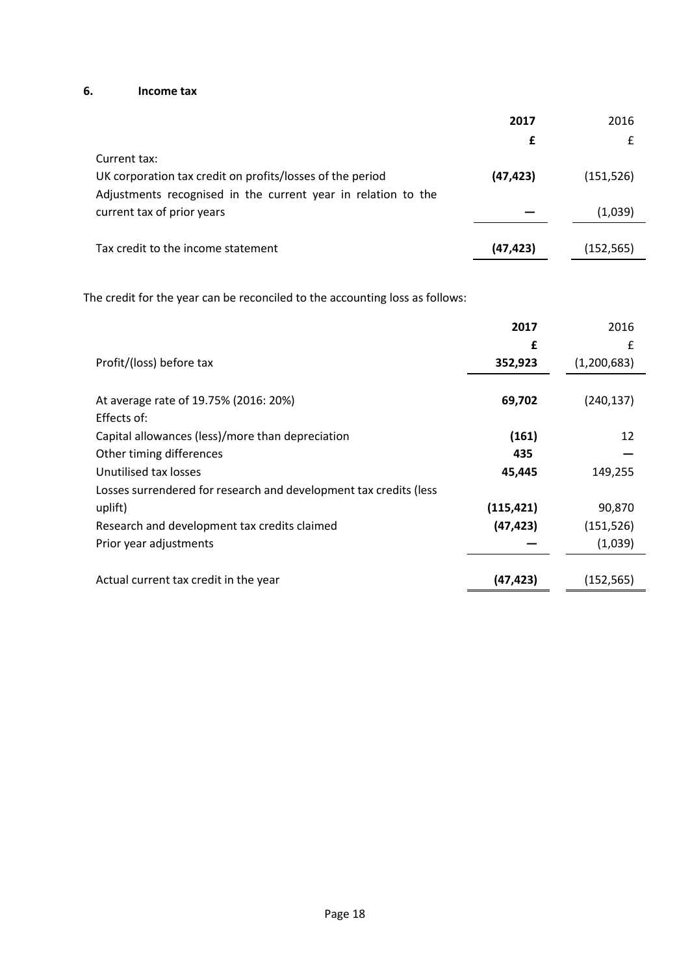# **6. Income tax**

|                                                               | 2017      | 2016       |
|---------------------------------------------------------------|-----------|------------|
|                                                               |           | £          |
| Current tax:                                                  |           |            |
| UK corporation tax credit on profits/losses of the period     | (47, 423) | (151, 526) |
| Adjustments recognised in the current year in relation to the |           |            |
| current tax of prior years                                    |           | (1,039)    |
|                                                               |           |            |
| Tax credit to the income statement                            | (47, 423) | (152, 565) |

The credit for the year can be reconciled to the accounting loss as follows:

|                                                                   | 2017       | 2016        |
|-------------------------------------------------------------------|------------|-------------|
|                                                                   | £          | £           |
| Profit/(loss) before tax                                          | 352,923    | (1,200,683) |
|                                                                   |            |             |
| At average rate of 19.75% (2016: 20%)                             | 69,702     | (240,137)   |
| Effects of:                                                       |            |             |
| Capital allowances (less)/more than depreciation                  | (161)      | 12          |
| Other timing differences                                          | 435        |             |
| Unutilised tax losses                                             | 45,445     | 149,255     |
| Losses surrendered for research and development tax credits (less |            |             |
| uplift)                                                           | (115, 421) | 90,870      |
| Research and development tax credits claimed                      | (47, 423)  | (151, 526)  |
| Prior year adjustments                                            |            | (1,039)     |
|                                                                   |            |             |
| Actual current tax credit in the year                             | (47, 423)  | (152,565)   |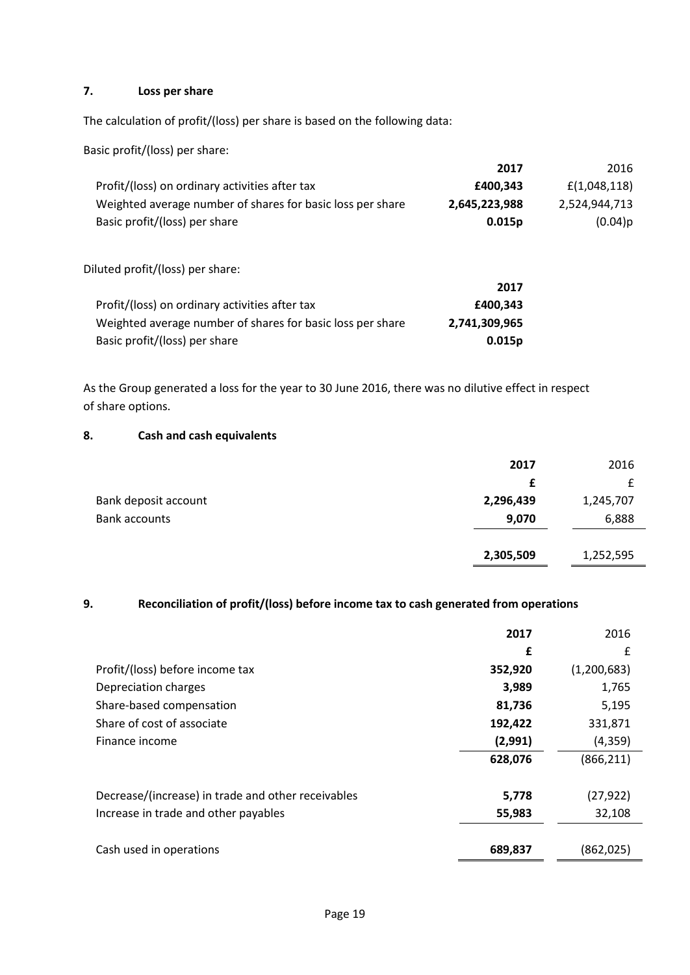# **7. Loss per share**

The calculation of profit/(loss) per share is based on the following data:

Basic profit/(loss) per share:

|                                                            | 2017          | 2016          |
|------------------------------------------------------------|---------------|---------------|
| Profit/(loss) on ordinary activities after tax             | £400,343      | f(1,048,118)  |
| Weighted average number of shares for basic loss per share | 2,645,223,988 | 2,524,944,713 |
| Basic profit/(loss) per share                              | 0.015p        | (0.04)p       |
|                                                            |               |               |
| Diluted profit/(loss) per share:                           |               |               |
|                                                            | 2017          |               |
| Profit/(loss) on ordinary activities after tax             | £400,343      |               |

| PTONC(10SS) ON OLUMNALY ACLIVILIES ALLEI-LAX               | I4VV,343      |
|------------------------------------------------------------|---------------|
| Weighted average number of shares for basic loss per share | 2,741,309,965 |
| Basic profit/(loss) per share                              | 0.015p        |

As the Group generated a loss for the year to 30 June 2016, there was no dilutive effect in respect of share options.

### **8. Cash and cash equivalents**

|                      | 2017      | 2016      |
|----------------------|-----------|-----------|
|                      | £         |           |
| Bank deposit account | 2,296,439 | 1,245,707 |
| <b>Bank accounts</b> | 9,070     | 6,888     |
|                      | 2,305,509 | 1,252,595 |

# **9. Reconciliation of profit/(loss) before income tax to cash generated from operations**

|                                                    | 2017    | 2016        |
|----------------------------------------------------|---------|-------------|
|                                                    | £       | £           |
| Profit/(loss) before income tax                    | 352,920 | (1,200,683) |
| Depreciation charges                               | 3,989   | 1,765       |
| Share-based compensation                           | 81,736  | 5,195       |
| Share of cost of associate                         | 192,422 | 331,871     |
| Finance income                                     | (2,991) | (4, 359)    |
|                                                    | 628,076 | (866, 211)  |
|                                                    |         |             |
| Decrease/(increase) in trade and other receivables | 5,778   | (27, 922)   |
| Increase in trade and other payables               | 55,983  | 32,108      |
|                                                    |         |             |
| Cash used in operations                            | 689,837 | (862, 025)  |